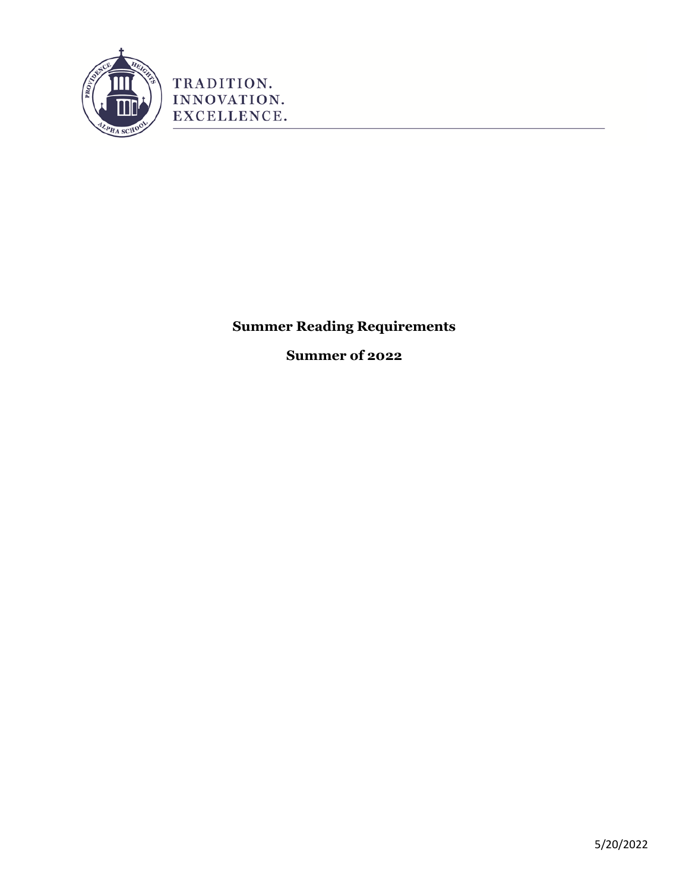

TRADITION. INNOVATION. EXCELLENCE.

**Summer Reading Requirements**

**Summer of 2022**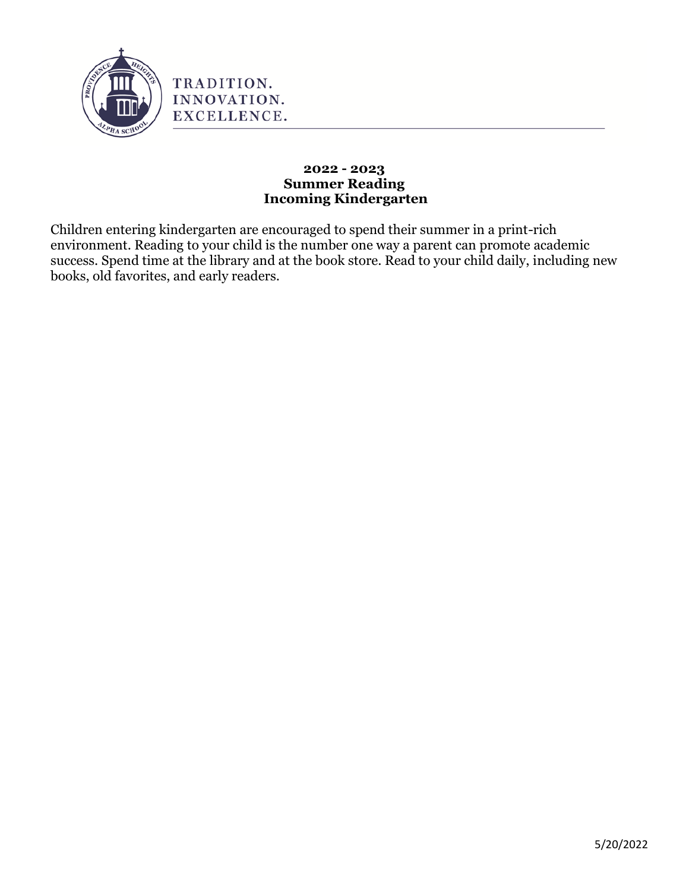

#### **2022 - 2023 Summer Reading Incoming Kindergarten**

Children entering kindergarten are encouraged to spend their summer in a print-rich environment. Reading to your child is the number one way a parent can promote academic success. Spend time at the library and at the book store. Read to your child daily, including new books, old favorites, and early readers.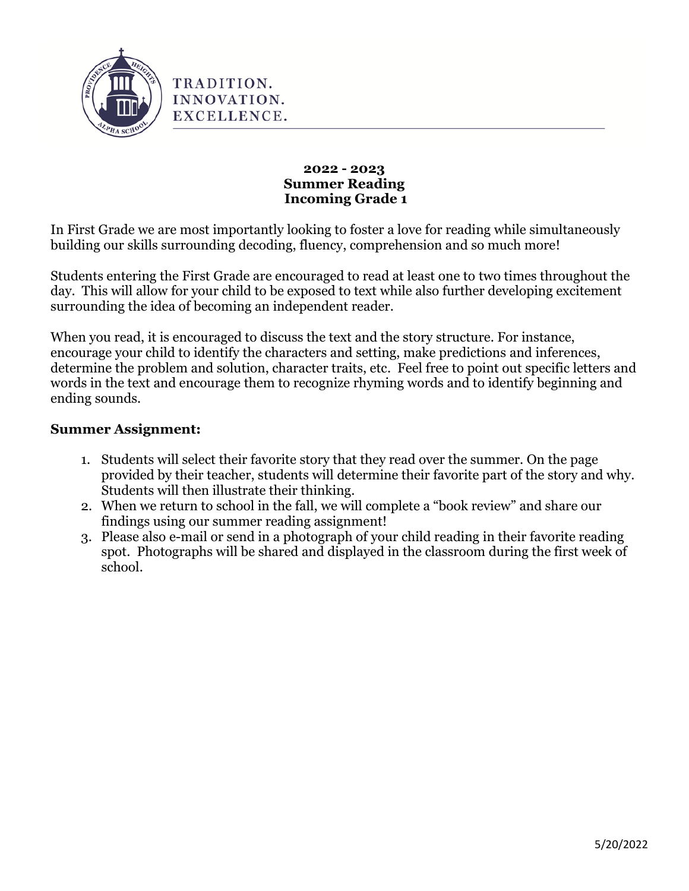

**2022 - 2023 Summer Reading Incoming Grade 1**

In First Grade we are most importantly looking to foster a love for reading while simultaneously building our skills surrounding decoding, fluency, comprehension and so much more!

Students entering the First Grade are encouraged to read at least one to two times throughout the day. This will allow for your child to be exposed to text while also further developing excitement surrounding the idea of becoming an independent reader.

When you read, it is encouraged to discuss the text and the story structure. For instance, encourage your child to identify the characters and setting, make predictions and inferences, determine the problem and solution, character traits, etc. Feel free to point out specific letters and words in the text and encourage them to recognize rhyming words and to identify beginning and ending sounds.

## **Summer Assignment:**

- 1. Students will select their favorite story that they read over the summer. On the page provided by their teacher, students will determine their favorite part of the story and why. Students will then illustrate their thinking.
- 2. When we return to school in the fall, we will complete a "book review" and share our findings using our summer reading assignment!
- 3. Please also e-mail or send in a photograph of your child reading in their favorite reading spot. Photographs will be shared and displayed in the classroom during the first week of school.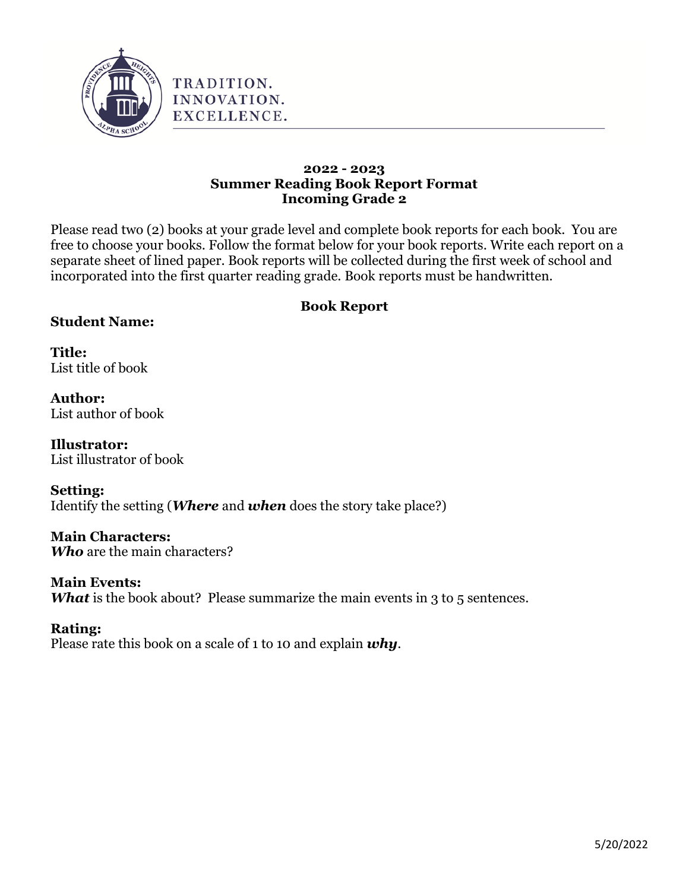

#### **2022 - 2023 Summer Reading Book Report Format Incoming Grade 2**

Please read two (2) books at your grade level and complete book reports for each book. You are free to choose your books. Follow the format below for your book reports. Write each report on a separate sheet of lined paper. Book reports will be collected during the first week of school and incorporated into the first quarter reading grade. Book reports must be handwritten.

# **Book Report**

# **Student Name:**

**Title:** List title of book

**Author:** List author of book

**Illustrator:** List illustrator of book

#### **Setting:**

Identify the setting (*Where* and *when* does the story take place?)

# **Main Characters:**

*Who* are the main characters?

# **Main Events:**

*What* is the book about? Please summarize the main events in 3 to 5 sentences.

# **Rating:**

Please rate this book on a scale of 1 to 10 and explain *why*.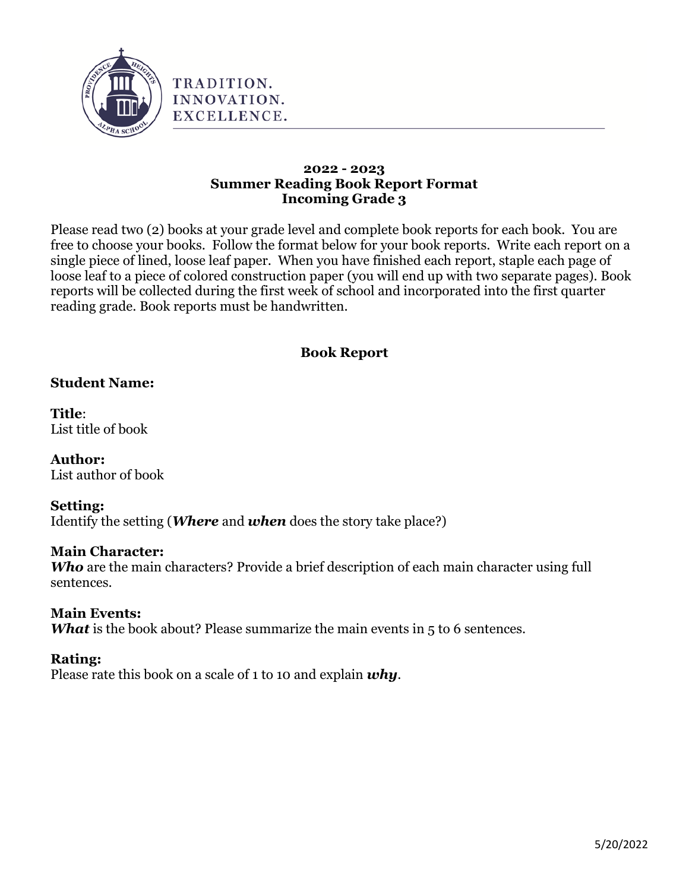

#### **2022 - 2023 Summer Reading Book Report Format Incoming Grade 3**

Please read two (2) books at your grade level and complete book reports for each book. You are free to choose your books. Follow the format below for your book reports. Write each report on a single piece of lined, loose leaf paper. When you have finished each report, staple each page of loose leaf to a piece of colored construction paper (you will end up with two separate pages). Book reports will be collected during the first week of school and incorporated into the first quarter reading grade. Book reports must be handwritten.

# **Book Report**

# **Student Name:**

**Title**: List title of book

**Author:** List author of book

# **Setting:**

Identify the setting (*Where* and *when* does the story take place?)

# **Main Character:**

*Who* are the main characters? Provide a brief description of each main character using full sentences.

# **Main Events:**

*What* is the book about? Please summarize the main events in 5 to 6 sentences.

# **Rating:**

Please rate this book on a scale of 1 to 10 and explain *why*.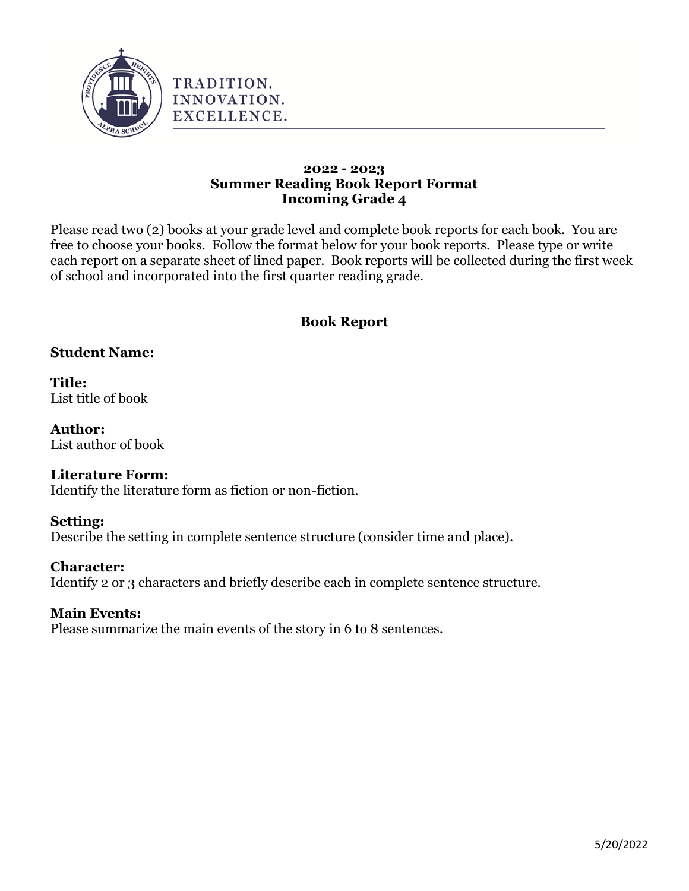

#### **2022 - 2023 Summer Reading Book Report Format Incoming Grade 4**

Please read two (2) books at your grade level and complete book reports for each book. You are free to choose your books. Follow the format below for your book reports. Please type or write each report on a separate sheet of lined paper. Book reports will be collected during the first week of school and incorporated into the first quarter reading grade.

# **Book Report**

# **Student Name:**

**Title:** List title of book

**Author:** List author of book

#### **Literature Form:**

Identify the literature form as fiction or non-fiction.

#### **Setting:**

Describe the setting in complete sentence structure (consider time and place).

#### **Character:**

Identify 2 or 3 characters and briefly describe each in complete sentence structure.

# **Main Events:**

Please summarize the main events of the story in 6 to 8 sentences.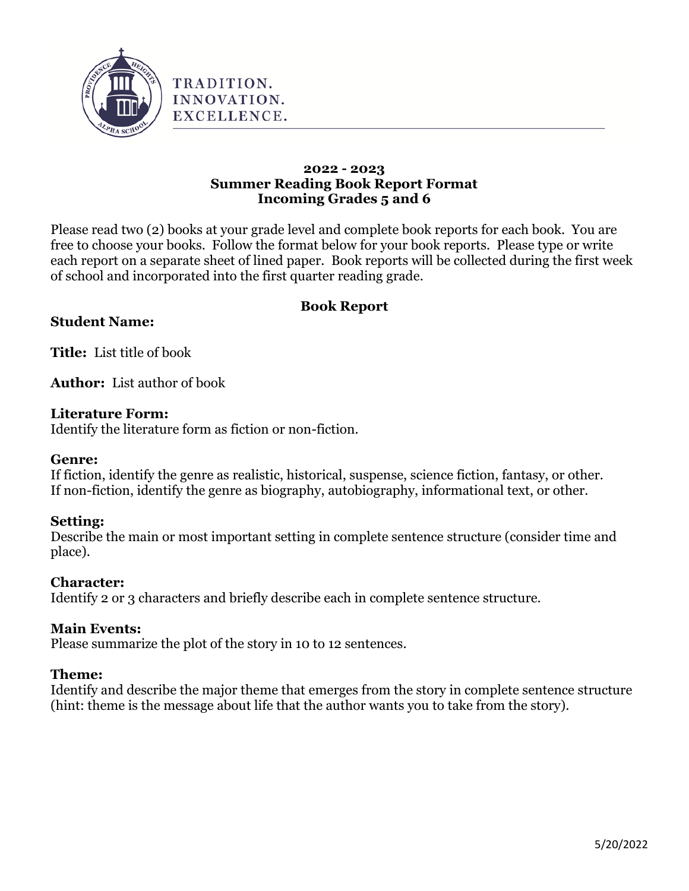

#### **2022 - 2023 Summer Reading Book Report Format Incoming Grades 5 and 6**

Please read two (2) books at your grade level and complete book reports for each book. You are free to choose your books. Follow the format below for your book reports. Please type or write each report on a separate sheet of lined paper. Book reports will be collected during the first week of school and incorporated into the first quarter reading grade.

# **Book Report**

# **Student Name:**

**Title:** List title of book

**Author:** List author of book

## **Literature Form:**

Identify the literature form as fiction or non-fiction.

#### **Genre:**

If fiction, identify the genre as realistic, historical, suspense, science fiction, fantasy, or other. If non-fiction, identify the genre as biography, autobiography, informational text, or other.

# **Setting:**

Describe the main or most important setting in complete sentence structure (consider time and place).

# **Character:**

Identify 2 or 3 characters and briefly describe each in complete sentence structure.

# **Main Events:**

Please summarize the plot of the story in 10 to 12 sentences.

#### **Theme:**

Identify and describe the major theme that emerges from the story in complete sentence structure (hint: theme is the message about life that the author wants you to take from the story).